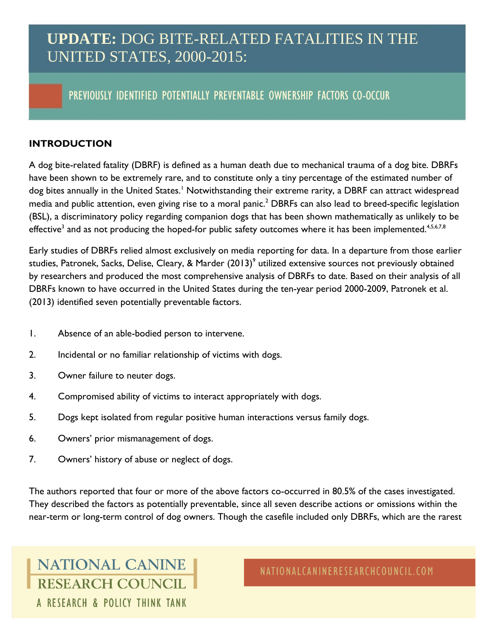## **UPDATE:** DOG BITE-RELATED FATALITIES IN THE UNITED STATES, 2000-2015:

### PREVIOUSLY IDENTIFIED POTENTIALLY PREVENTABLE OWNERSHIP FACTORS CO-OCCUR

### **INTRODUCTION**

A dog bite-related fatality (DBRF) is defined as a human death due to mechanical trauma of a dog bite. DBRFs have been shown to be extremely rare, and to constitute only a tiny percentage of the estimated number of dog bites annually in the United States.<sup>1</sup> Notwithstanding their extreme rarity, a DBRF can attract widespread media and public attention, even giving rise to a moral panic.<sup>2</sup> DBRFs can also lead to breed-specific legislation (BSL), a discriminatory policy regarding companion dogs that has been shown mathematically as unlikely to be effective $^3$  and as not producing the hoped-for public safety outcomes where it has been implemented. $^{4,5,6,7,8}$ 

Early studies of DBRFs relied almost exclusively on media reporting for data. In a departure from those earlier studies, Patronek, Sacks, Delise, Cleary, & Marder (2013) $^{\circ}$  utilized extensive sources not previously obtained by researchers and produced the most comprehensive analysis of DBRFs to date. Based on their analysis of all DBRFs known to have occurred in the United States during the ten-year period 2000-2009, Patronek et al. (2013) identified seven potentially preventable factors.

- 1. Absence of an able-bodied person to intervene.
- 2. Incidental or no familiar relationship of victims with dogs.
- 3. Owner failure to neuter dogs.
- 4. Compromised ability of victims to interact appropriately with dogs.
- 5. Dogs kept isolated from regular positive human interactions versus family dogs.
- 6. Owners' prior mismanagement of dogs.
- 7. Owners' history of abuse or neglect of dogs.

The authors reported that four or more of the above factors co-occurred in 80.5% of the cases investigated. They described the factors as potentially preventable, since all seven describe actions or omissions within the near-term or long-term control of dog owners. Though the casefile included only DBRFs, which are the rarest

**NATIONAL CANINE RESEARCH COUNCIL** A RESEARCH & POLICY THINK TANK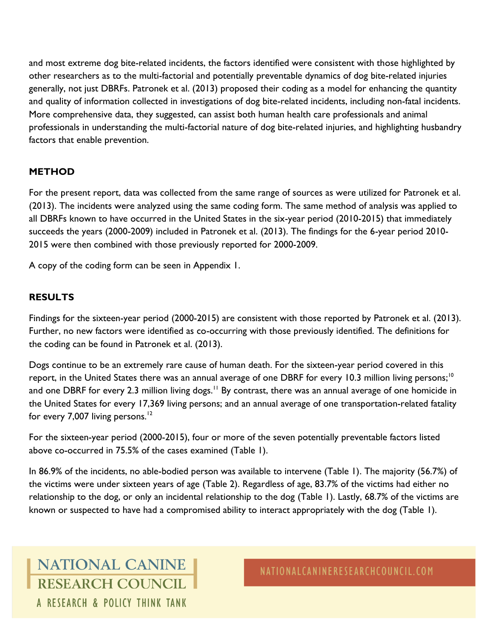and most extreme dog bite-related incidents, the factors identified were consistent with those highlighted by other researchers as to the multi-factorial and potentially preventable dynamics of dog bite-related injuries generally, not just DBRFs. Patronek et al. (2013) proposed their coding as a model for enhancing the quantity and quality of information collected in investigations of dog bite-related incidents, including non-fatal incidents. More comprehensive data, they suggested, can assist both human health care professionals and animal professionals in understanding the multi-factorial nature of dog bite-related injuries, and highlighting husbandry factors that enable prevention.

#### **METHOD**

For the present report, data was collected from the same range of sources as were utilized for Patronek et al. (2013). The incidents were analyzed using the same coding form. The same method of analysis was applied to all DBRFs known to have occurred in the United States in the six-year period (2010-2015) that immediately succeeds the years (2000-2009) included in Patronek et al. (2013). The findings for the 6-year period 2010- 2015 were then combined with those previously reported for 2000-2009.

A copy of the coding form can be seen in Appendix 1.

#### **RESULTS**

Findings for the sixteen-year period (2000-2015) are consistent with those reported by Patronek et al. (2013). Further, no new factors were identified as co-occurring with those previously identified. The definitions for the coding can be found in Patronek et al. (2013).

Dogs continue to be an extremely rare cause of human death. For the sixteen-year period covered in this report, in the United States there was an annual average of one DBRF for every 10.3 million living persons;<sup>10</sup> and one DBRF for every 2.3 million living dogs.<sup>11</sup> By contrast, there was an annual average of one homicide in the United States for every 17,369 living persons; and an annual average of one transportation-related fatality for every 7,007 living persons.<sup>12</sup>

For the sixteen-year period (2000-2015), four or more of the seven potentially preventable factors listed above co-occurred in 75.5% of the cases examined (Table 1).

In 86.9% of the incidents, no able-bodied person was available to intervene (Table 1). The majority (56.7%) of the victims were under sixteen years of age (Table 2). Regardless of age, 83.7% of the victims had either no relationship to the dog, or only an incidental relationship to the dog (Table 1). Lastly, 68.7% of the victims are known or suspected to have had a compromised ability to interact appropriately with the dog (Table 1).

## **NATIONAL CANINE RESEARCH COUNCIL** A RESEARCH & POLICY THINK TANK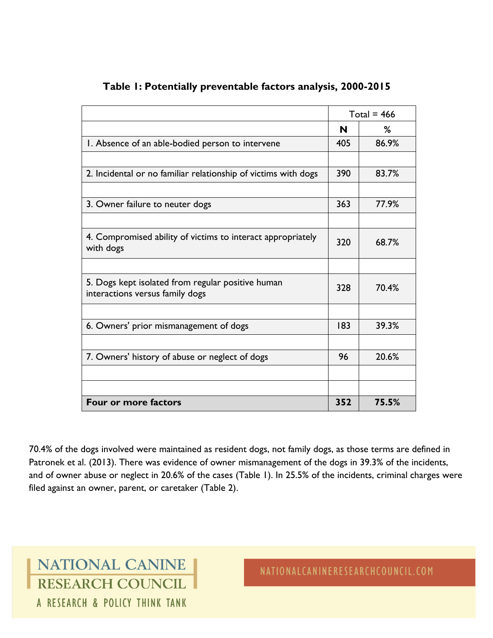|                                                                                      | Total = $466$ |       |
|--------------------------------------------------------------------------------------|---------------|-------|
|                                                                                      | N             | %     |
| I. Absence of an able-bodied person to intervene                                     | 405           | 86.9% |
|                                                                                      |               |       |
| 2. Incidental or no familiar relationship of victims with dogs                       | 390           | 83.7% |
|                                                                                      |               |       |
| 3. Owner failure to neuter dogs                                                      | 363           | 77.9% |
|                                                                                      |               |       |
| 4. Compromised ability of victims to interact appropriately<br>with dogs             | 320           | 68.7% |
|                                                                                      |               |       |
| 5. Dogs kept isolated from regular positive human<br>interactions versus family dogs | 328           | 70.4% |
|                                                                                      |               |       |
| 6. Owners' prior mismanagement of dogs                                               | 183           | 39.3% |
|                                                                                      |               |       |
| 7. Owners' history of abuse or neglect of dogs                                       | 96            | 20.6% |
|                                                                                      |               |       |
|                                                                                      |               |       |
| <b>Four or more factors</b>                                                          | 352           | 75.5% |

### **Table 1: Potentially preventable factors analysis, 2000-2015**

70.4% of the dogs involved were maintained as resident dogs, not family dogs, as those terms are defined in Patronek et al. (2013). There was evidence of owner mismanagement of the dogs in 39.3% of the incidents, and of owner abuse or neglect in 20.6% of the cases (Table 1). In 25.5% of the incidents, criminal charges were filed against an owner, parent, or caretaker (Table 2).

NATIONAL CANINE RESEARCH COUNCIL A RESEARCH & POLICY THINK TANK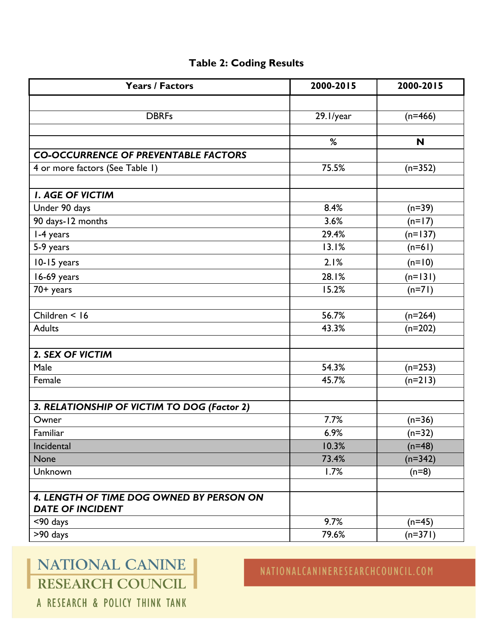### **Table 2: Coding Results**

| <b>Years / Factors</b>                      | 2000-2015 | 2000-2015 |
|---------------------------------------------|-----------|-----------|
|                                             |           |           |
| <b>DBRFs</b>                                | 29.1/year | $(n=466)$ |
|                                             |           |           |
|                                             | %         | N         |
| <b>CO-OCCURRENCE OF PREVENTABLE FACTORS</b> |           |           |
| 4 or more factors (See Table 1)             | 75.5%     | $(n=352)$ |
|                                             |           |           |
| <b>I. AGE OF VICTIM</b>                     |           |           |
| Under 90 days                               | 8.4%      | $(n=39)$  |
| 90 days-12 months                           | 3.6%      | $(n=17)$  |
| 1-4 years                                   | 29.4%     | $(n=137)$ |
| 5-9 years                                   | 13.1%     | $(n=61)$  |
| 10-15 years                                 | 2.1%      | $(n=10)$  |
| 16-69 years                                 | 28.1%     | $(n=131)$ |
| 70+ years                                   | 15.2%     | $(n=71)$  |
|                                             |           |           |
| Children < 16                               | 56.7%     | $(n=264)$ |
| <b>Adults</b>                               | 43.3%     | $(n=202)$ |
|                                             |           |           |
| 2. SEX OF VICTIM                            |           |           |
| Male                                        | 54.3%     | $(n=253)$ |
| Female                                      | 45.7%     | $(n=213)$ |
|                                             |           |           |
| 3. RELATIONSHIP OF VICTIM TO DOG (Factor 2) |           |           |
| Owner                                       | 7.7%      | $(n=36)$  |
| Familiar                                    | 6.9%      | $(n=32)$  |
| Incidental                                  | 10.3%     | $(n=48)$  |
| <b>None</b>                                 | 73.4%     | $(n=342)$ |
| Unknown                                     | 1.7%      | $(n=8)$   |
| 4. LENGTH OF TIME DOG OWNED BY PERSON ON    |           |           |
| <b>DATE OF INCIDENT</b>                     |           |           |
| $<$ 90 days                                 | 9.7%      | $(n=45)$  |
| $\overline{>}90$ days                       | 79.6%     | $(n=371)$ |
|                                             |           |           |

# NATIONAL CANINE RESEARCH COUNCIL

## NATIONALCANINERESEARCHCOUNCIL.COM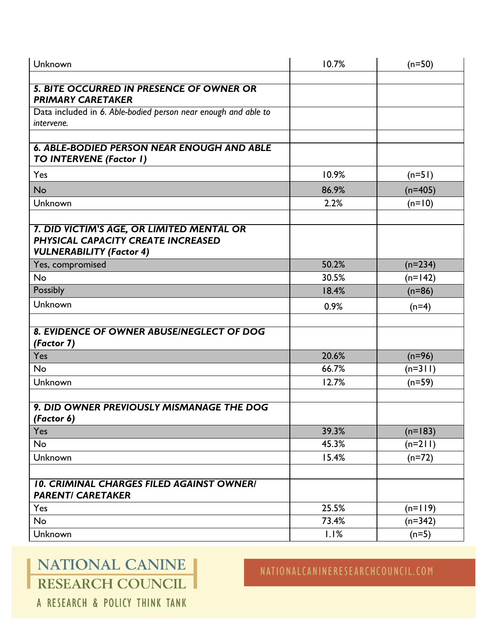| Unknown                                                                      | 10.7% | $(n=50)$  |
|------------------------------------------------------------------------------|-------|-----------|
|                                                                              |       |           |
| <b>5. BITE OCCURRED IN PRESENCE OF OWNER OR</b>                              |       |           |
| <b>PRIMARY CARETAKER</b>                                                     |       |           |
| Data included in 6. Able-bodied person near enough and able to<br>intervene. |       |           |
|                                                                              |       |           |
| <b>6. ABLE-BODIED PERSON NEAR ENOUGH AND ABLE</b>                            |       |           |
| TO INTERVENE (Factor I)                                                      |       |           |
| Yes                                                                          | 10.9% | $(n=51)$  |
| <b>No</b>                                                                    | 86.9% | $(n=405)$ |
| Unknown                                                                      | 2.2%  | $(n=10)$  |
|                                                                              |       |           |
| 7. DID VICTIM'S AGE, OR LIMITED MENTAL OR                                    |       |           |
| PHYSICAL CAPACITY CREATE INCREASED                                           |       |           |
| <b>VULNERABILITY (Factor 4)</b>                                              |       |           |
| Yes, compromised                                                             | 50.2% | $(n=234)$ |
| <b>No</b>                                                                    | 30.5% | $(n=142)$ |
| Possibly                                                                     | 18.4% | $(n=86)$  |
| Unknown                                                                      | 0.9%  | $(n=4)$   |
|                                                                              |       |           |
| 8. EVIDENCE OF OWNER ABUSE/NEGLECT OF DOG<br>(Factor 7)                      |       |           |
| Yes                                                                          | 20.6% | $(n=96)$  |
| <b>No</b>                                                                    | 66.7% | $(n=3 1)$ |
| Unknown                                                                      | 12.7% | $(n=59)$  |
|                                                                              |       |           |
| 9. DID OWNER PREVIOUSLY MISMANAGE THE DOG<br>(Factor 6)                      |       |           |
| Yes                                                                          | 39.3% | $(n=183)$ |
| No                                                                           | 45.3% | $(n=211)$ |
| Unknown                                                                      | 15.4% | $(n=72)$  |
|                                                                              |       |           |
| <b>10. CRIMINAL CHARGES FILED AGAINST OWNER/</b>                             |       |           |
| <b>PARENTI CARETAKER</b>                                                     |       |           |
| Yes                                                                          | 25.5% | $(n=119)$ |
| No                                                                           | 73.4% | $(n=342)$ |
| Unknown                                                                      | 1.1%  | $(n=5)$   |

# NATIONAL CANINE RESEARCH COUNCIL

## NATIONALCANINERESEARCHCOUNCIL.COM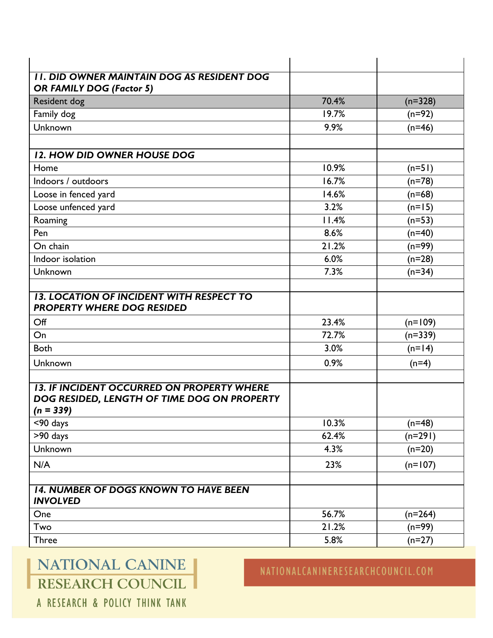| <b>II. DID OWNER MAINTAIN DOG AS RESIDENT DOG</b>                                    |       |           |
|--------------------------------------------------------------------------------------|-------|-----------|
| <b>OR FAMILY DOG (Factor 5)</b>                                                      |       |           |
| Resident dog                                                                         | 70.4% | $(n=328)$ |
| Family dog                                                                           | 19.7% | $(n=92)$  |
| Unknown                                                                              | 9.9%  | $(n=46)$  |
|                                                                                      |       |           |
| 12. HOW DID OWNER HOUSE DOG                                                          |       |           |
| Home                                                                                 | 10.9% | $(n=51)$  |
| Indoors / outdoors                                                                   | 16.7% | $(n=78)$  |
| Loose in fenced yard                                                                 | 14.6% | $(n=68)$  |
| Loose unfenced yard                                                                  | 3.2%  | $(n=15)$  |
| Roaming                                                                              | 11.4% | $(n=53)$  |
| Pen                                                                                  | 8.6%  | $(n=40)$  |
| On chain                                                                             | 21.2% | $(n=99)$  |
| Indoor isolation                                                                     | 6.0%  | $(n=28)$  |
| Unknown                                                                              | 7.3%  | $(n=34)$  |
|                                                                                      |       |           |
| <b>13. LOCATION OF INCIDENT WITH RESPECT TO</b><br><b>PROPERTY WHERE DOG RESIDED</b> |       |           |
| Off                                                                                  | 23.4% | $(n=109)$ |
| On                                                                                   | 72.7% | $(n=339)$ |
| <b>Both</b>                                                                          | 3.0%  | $(n=14)$  |
| Unknown                                                                              | 0.9%  | $(n=4)$   |
|                                                                                      |       |           |
| <b>13. IF INCIDENT OCCURRED ON PROPERTY WHERE</b>                                    |       |           |
| DOG RESIDED, LENGTH OF TIME DOG ON PROPERTY<br>$(n = 339)$                           |       |           |
| <90 days                                                                             | 10.3% | $(n=48)$  |
| $\overline{>}90$ days                                                                | 62.4% | $(n=291)$ |
| Unknown                                                                              | 4.3%  | $(n=20)$  |
|                                                                                      |       |           |
| N/A                                                                                  | 23%   | $(n=107)$ |
| <b>14. NUMBER OF DOGS KNOWN TO HAVE BEEN</b><br><b>INVOLVED</b>                      |       |           |
| One                                                                                  | 56.7% | $(n=264)$ |
| Two                                                                                  | 21.2% | $(n=99)$  |
| <b>Three</b>                                                                         | 5.8%  | $(n=27)$  |
|                                                                                      |       |           |

# NATIONAL CANINE RESEARCH COUNCIL

## NATIONALCANINERESEARCHCOUNCIL.COM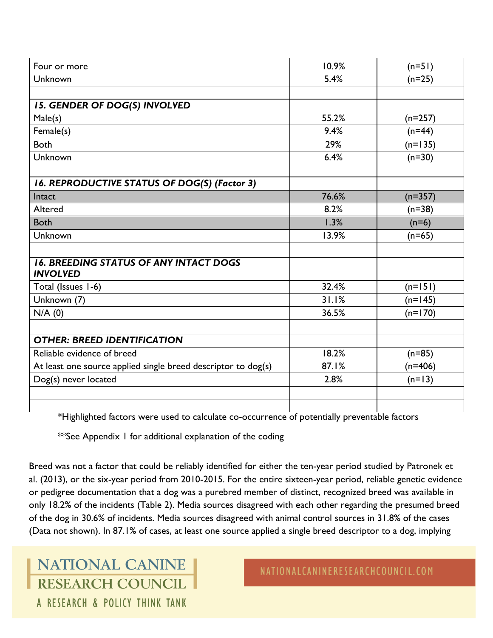| Four or more                                                  | 10.9% | $(n=51)$  |
|---------------------------------------------------------------|-------|-----------|
| Unknown                                                       | 5.4%  | $(n=25)$  |
|                                                               |       |           |
| <b>15. GENDER OF DOG(S) INVOLVED</b>                          |       |           |
| Male(s)                                                       | 55.2% | $(n=257)$ |
| Female(s)                                                     | 9.4%  | $(n=44)$  |
| <b>Both</b>                                                   | 29%   | $(n=135)$ |
| Unknown                                                       | 6.4%  | $(n=30)$  |
|                                                               |       |           |
| 16. REPRODUCTIVE STATUS OF DOG(S) (Factor 3)                  |       |           |
| Intact                                                        | 76.6% | $(n=357)$ |
| Altered                                                       | 8.2%  | $(n=38)$  |
| <b>Both</b>                                                   | 1.3%  | $(n=6)$   |
| Unknown                                                       | 13.9% | $(n=65)$  |
|                                                               |       |           |
| <b>16. BREEDING STATUS OF ANY INTACT DOGS</b>                 |       |           |
| <b>INVOLVED</b>                                               |       |           |
| Total (Issues 1-6)                                            | 32.4% | $(n=151)$ |
| Unknown (7)                                                   | 31.1% | $(n=145)$ |
| N/A(0)                                                        | 36.5% | $(n=170)$ |
|                                                               |       |           |
| <b>OTHER: BREED IDENTIFICATION</b>                            |       |           |
| Reliable evidence of breed                                    | 18.2% | $(n=85)$  |
| At least one source applied single breed descriptor to dog(s) | 87.1% | $(n=406)$ |
| Dog(s) never located                                          | 2.8%  | $(n=13)$  |
|                                                               |       |           |
|                                                               |       |           |

\*Highlighted factors were used to calculate co-occurrence of potentially preventable factors

\*\*See Appendix 1 for additional explanation of the coding

Breed was not a factor that could be reliably identified for either the ten-year period studied by Patronek et al. (2013), or the six-year period from 2010-2015. For the entire sixteen-year period, reliable genetic evidence or pedigree documentation that a dog was a purebred member of distinct, recognized breed was available in only 18.2% of the incidents (Table 2). Media sources disagreed with each other regarding the presumed breed of the dog in 30.6% of incidents. Media sources disagreed with animal control sources in 31.8% of the cases (Data not shown). In 87.1% of cases, at least one source applied a single breed descriptor to a dog, implying

NATIONAL CANINE **RESEARCH COUNCIL** A RESEARCH & POLICY THINK TANK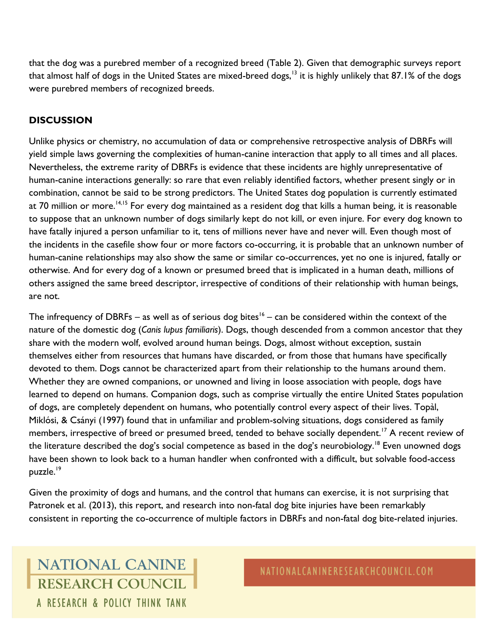that the dog was a purebred member of a recognized breed (Table 2). Given that demographic surveys report that almost half of dogs in the United States are mixed-breed dogs,<sup>13</sup> it is highly unlikely that 87.1% of the dogs were purebred members of recognized breeds.

### **DISCUSSION**

Unlike physics or chemistry, no accumulation of data or comprehensive retrospective analysis of DBRFs will yield simple laws governing the complexities of human-canine interaction that apply to all times and all places. Nevertheless, the extreme rarity of DBRFs is evidence that these incidents are highly unrepresentative of human-canine interactions generally: so rare that even reliably identified factors, whether present singly or in combination, cannot be said to be strong predictors. The United States dog population is currently estimated at 70 million or more.<sup>14,15</sup> For every dog maintained as a resident dog that kills a human being, it is reasonable to suppose that an unknown number of dogs similarly kept do not kill, or even injure. For every dog known to have fatally injured a person unfamiliar to it, tens of millions never have and never will. Even though most of the incidents in the casefile show four or more factors co-occurring, it is probable that an unknown number of human-canine relationships may also show the same or similar co-occurrences, yet no one is injured, fatally or otherwise. And for every dog of a known or presumed breed that is implicated in a human death, millions of others assigned the same breed descriptor, irrespective of conditions of their relationship with human beings, are not.

The infrequency of DBRFs – as well as of serious dog bites $^{16}$  – can be considered within the context of the nature of the domestic dog (*Canis lupus familiaris*). Dogs, though descended from a common ancestor that they share with the modern wolf, evolved around human beings. Dogs, almost without exception, sustain themselves either from resources that humans have discarded, or from those that humans have specifically devoted to them. Dogs cannot be characterized apart from their relationship to the humans around them. Whether they are owned companions, or unowned and living in loose association with people, dogs have learned to depend on humans. Companion dogs, such as comprise virtually the entire United States population of dogs, are completely dependent on humans, who potentially control every aspect of their lives. Topàl, Miklósi, & Csányi (1997) found that in unfamiliar and problem-solving situations, dogs considered as family members, irrespective of breed or presumed breed, tended to behave socially dependent.<sup>17</sup> A recent review of the literature described the dog's social competence as based in the dog's neurobiology.<sup>18</sup> Even unowned dogs have been shown to look back to a human handler when confronted with a difficult, but solvable food-access puzzle.<sup>19</sup>

Given the proximity of dogs and humans, and the control that humans can exercise, it is not surprising that Patronek et al. (2013), this report, and research into non-fatal dog bite injuries have been remarkably consistent in reporting the co-occurrence of multiple factors in DBRFs and non-fatal dog bite-related injuries.

## **NATIONAL CANINE RESEARCH COUNCIL** A RESEARCH & POLICY THINK TANK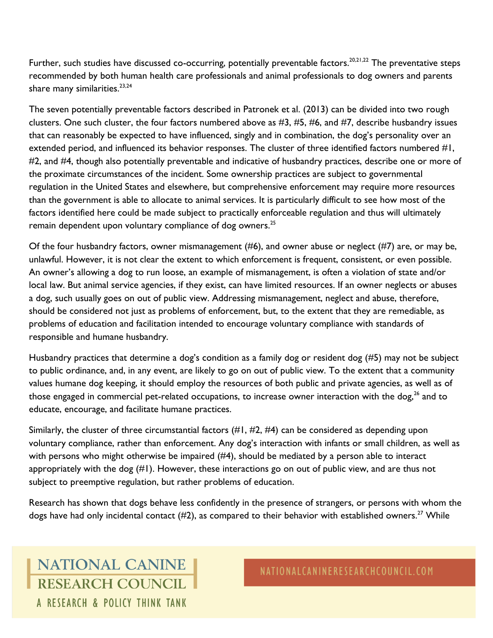Further, such studies have discussed co-occurring, potentially preventable factors.<sup>20,21,22</sup> The preventative steps recommended by both human health care professionals and animal professionals to dog owners and parents share many similarities. $23,24$ 

The seven potentially preventable factors described in Patronek et al. (2013) can be divided into two rough clusters. One such cluster, the four factors numbered above as #3, #5, #6, and #7, describe husbandry issues that can reasonably be expected to have influenced, singly and in combination, the dog's personality over an extended period, and influenced its behavior responses. The cluster of three identified factors numbered #1, #2, and #4, though also potentially preventable and indicative of husbandry practices, describe one or more of the proximate circumstances of the incident. Some ownership practices are subject to governmental regulation in the United States and elsewhere, but comprehensive enforcement may require more resources than the government is able to allocate to animal services. It is particularly difficult to see how most of the factors identified here could be made subject to practically enforceable regulation and thus will ultimately remain dependent upon voluntary compliance of dog owners.<sup>25</sup>

Of the four husbandry factors, owner mismanagement  $(\#6)$ , and owner abuse or neglect  $(\#7)$  are, or may be, unlawful. However, it is not clear the extent to which enforcement is frequent, consistent, or even possible. An owner's allowing a dog to run loose, an example of mismanagement, is often a violation of state and/or local law. But animal service agencies, if they exist, can have limited resources. If an owner neglects or abuses a dog, such usually goes on out of public view. Addressing mismanagement, neglect and abuse, therefore, should be considered not just as problems of enforcement, but, to the extent that they are remediable, as problems of education and facilitation intended to encourage voluntary compliance with standards of responsible and humane husbandry.

Husbandry practices that determine a dog's condition as a family dog or resident dog (#5) may not be subject to public ordinance, and, in any event, are likely to go on out of public view. To the extent that a community values humane dog keeping, it should employ the resources of both public and private agencies, as well as of those engaged in commercial pet-related occupations, to increase owner interaction with the dog,<sup>26</sup> and to educate, encourage, and facilitate humane practices.

Similarly, the cluster of three circumstantial factors (#1, #2, #4) can be considered as depending upon voluntary compliance, rather than enforcement. Any dog's interaction with infants or small children, as well as with persons who might otherwise be impaired (#4), should be mediated by a person able to interact appropriately with the dog (#1). However, these interactions go on out of public view, and are thus not subject to preemptive regulation, but rather problems of education.

Research has shown that dogs behave less confidently in the presence of strangers, or persons with whom the dogs have had only incidental contact  $(\#2)$ , as compared to their behavior with established owners.<sup>27</sup> While

## **NATIONAL CANINE RESEARCH COUNCIL** A RESEARCH & POLICY THINK TANK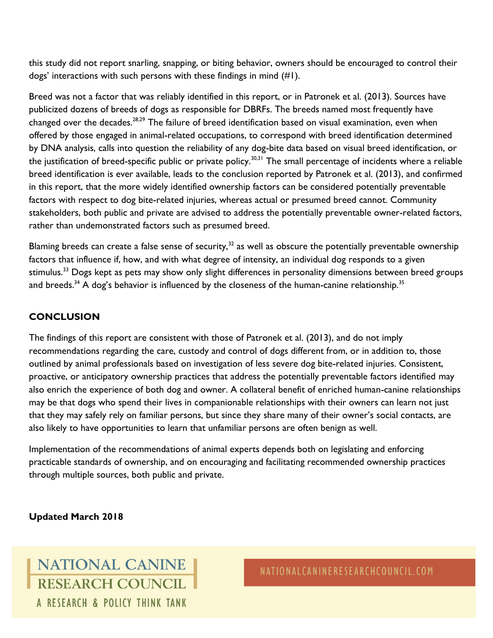this study did not report snarling, snapping, or biting behavior, owners should be encouraged to control their dogs' interactions with such persons with these findings in mind (#1).

Breed was not a factor that was reliably identified in this report, or in Patronek et al. (2013). Sources have publicized dozens of breeds of dogs as responsible for DBRFs. The breeds named most frequently have changed over the decades.<sup>28,29</sup> The failure of breed identification based on visual examination, even when offered by those engaged in animal-related occupations, to correspond with breed identification determined by DNA analysis, calls into question the reliability of any dog-bite data based on visual breed identification, or the justification of breed-specific public or private policy.<sup>30,31</sup> The small percentage of incidents where a reliable breed identification is ever available, leads to the conclusion reported by Patronek et al. (2013), and confirmed in this report, that the more widely identified ownership factors can be considered potentially preventable factors with respect to dog bite-related injuries, whereas actual or presumed breed cannot. Community stakeholders, both public and private are advised to address the potentially preventable owner-related factors, rather than undemonstrated factors such as presumed breed.

Blaming breeds can create a false sense of security, $32$  as well as obscure the potentially preventable ownership factors that influence if, how, and with what degree of intensity, an individual dog responds to a given stimulus.<sup>33</sup> Dogs kept as pets may show only slight differences in personality dimensions between breed groups and breeds.<sup>34</sup> A dog's behavior is influenced by the closeness of the human-canine relationship.<sup>35</sup>

### **CONCLUSION**

The findings of this report are consistent with those of Patronek et al. (2013), and do not imply recommendations regarding the care, custody and control of dogs different from, or in addition to, those outlined by animal professionals based on investigation of less severe dog bite-related injuries. Consistent, proactive, or anticipatory ownership practices that address the potentially preventable factors identified may also enrich the experience of both dog and owner. A collateral benefit of enriched human-canine relationships may be that dogs who spend their lives in companionable relationships with their owners can learn not just that they may safely rely on familiar persons, but since they share many of their owner's social contacts, are also likely to have opportunities to learn that unfamiliar persons are often benign as well.

Implementation of the recommendations of animal experts depends both on legislating and enforcing practicable standards of ownership, and on encouraging and facilitating recommended ownership practices through multiple sources, both public and private.

**Updated March 2018**

## **NATIONAL CANINE RESEARCH COUNCIL** A RESEARCH & POLICY THINK TANK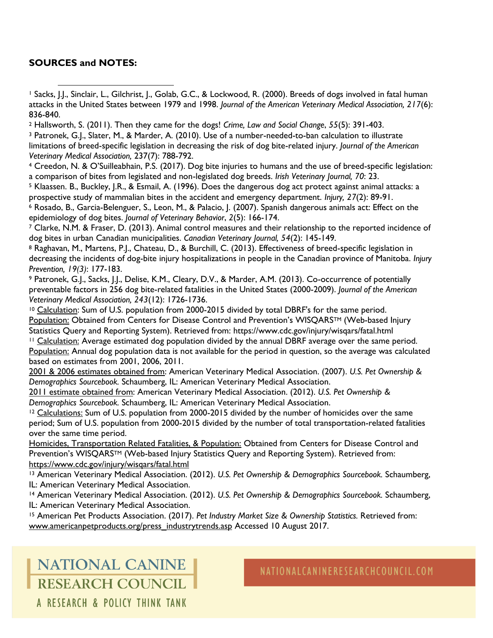#### **SOURCES and NOTES:**

<sup>1</sup> Sacks, J.J., Sinclair, L., Gilchrist, J., Golab, G.C., & Lockwood, R. (2000). Breeds of dogs involved in fatal human attacks in the United States between 1979 and 1998. *Journal of the American Veterinary Medical Association, 217*(6): 836-840. l

<sup>2</sup> Hallsworth, S. (2011). Then they came for the dogs! *Crime, Law and Social Change*, *55*(5): 391-403.

<sup>3</sup> Patronek, G.J., Slater, M., & Marder, A. (2010). Use of a number-needed-to-ban calculation to illustrate limitations of breed-specific legislation in decreasing the risk of dog bite-related injury. *Journal of the American Veterinary Medical Association,* 237(7): 788-792.

<sup>4</sup> Creedon, N. & O'Suilleabhain, P.S. (2017). Dog bite injuries to humans and the use of breed-specific legislation: a comparison of bites from legislated and non-legislated dog breeds. *Irish Veterinary Journal, 70*: 23.

<sup>5</sup> Klaassen. B., Buckley, J.R., & Esmail, A. (1996). Does the dangerous dog act protect against animal attacks: a prospective study of mammalian bites in the accident and emergency department. *Injury, 27*(2): 89-91.

<sup>6</sup> Rosado, B., Garcia-Belenguer, S., Leon, M., & Palacio, J. (2007). Spanish dangerous animals act: Effect on the epidemiology of dog bites. *Journal of Veterinary Behavior*, *2*(5): 166-174.

<sup>7</sup> Clarke, N.M. & Fraser, D. (2013). Animal control measures and their relationship to the reported incidence of dog bites in urban Canadian municipalities. *Canadian Veterinary Journal, 54*(2): 145-149.

<sup>8</sup> Raghavan, M., Martens, P.J., Chateau, D., & Burchill, C. (2013). Effectiveness of breed-specific legislation in decreasing the incidents of dog-bite injury hospitalizations in people in the Canadian province of Manitoba. *Injury Prevention, 19(3)*: 177-183.

<sup>9</sup> Patronek, G.J., Sacks, J.J., Delise, K.M., Cleary, D.V., & Marder, A.M. (2013). Co-occurrence of potentially preventable factors in 256 dog bite-related fatalities in the United States (2000-2009). *Journal of the American Veterinary Medical Association, 243*(12): 1726-1736.

<sup>10</sup> Calculation: Sum of U.S. population from 2000-2015 divided by total DBRF's for the same period. Population: Obtained from Centers for Disease Control and Prevention's WISQARS™ (Web-based Injury Statistics Query and Reporting System). Retrieved from: https://www.cdc.gov/injury/wisqars/fatal.html <sup>11</sup> Calculation: Average estimated dog population divided by the annual DBRF average over the same period.

Population: Annual dog population data is not available for the period in question, so the average was calculated based on estimates from 2001, 2006, 2011.

2001 & 2006 estimates obtained from: American Veterinary Medical Association. (2007). *U.S. Pet Ownership & Demographics Sourcebook.* Schaumberg, IL: American Veterinary Medical Association.

2011 estimate obtained from: American Veterinary Medical Association. (2012). *U.S. Pet Ownership & Demographics Sourcebook.* Schaumberg, IL: American Veterinary Medical Association.

<sup>12</sup> Calculations: Sum of U.S. population from 2000-2015 divided by the number of homicides over the same period; Sum of U.S. population from 2000-2015 divided by the number of total transportation-related fatalities over the same time period.

Homicides, Transportation Related Fatalities, & Population: Obtained from Centers for Disease Control and Prevention's WISQARS™ (Web-based Injury Statistics Query and Reporting System). Retrieved from: <https://www.cdc.gov/injury/wisqars/fatal.html>

<sup>13</sup> American Veterinary Medical Association. (2012). *U.S. Pet Ownership & Demographics Sourcebook.* Schaumberg, IL: American Veterinary Medical Association.

<sup>14</sup> American Veterinary Medical Association. (2012). *U.S. Pet Ownership & Demographics Sourcebook.* Schaumberg, IL: American Veterinary Medical Association.

<sup>15</sup> American Pet Products Association. (2017). *Pet Industry Market Size & Ownership Statistics.* Retrieved from: [www.americanpetproducts.org/press\\_industrytrends.asp](http://www.americanpetproducts.org/press_industrytrends.asp) Accessed 10 August 2017.

# **NATIONAL CANINE RESEARCH COUNCIL**

NATIONALCANINERESEARCHCOUNCIL.COM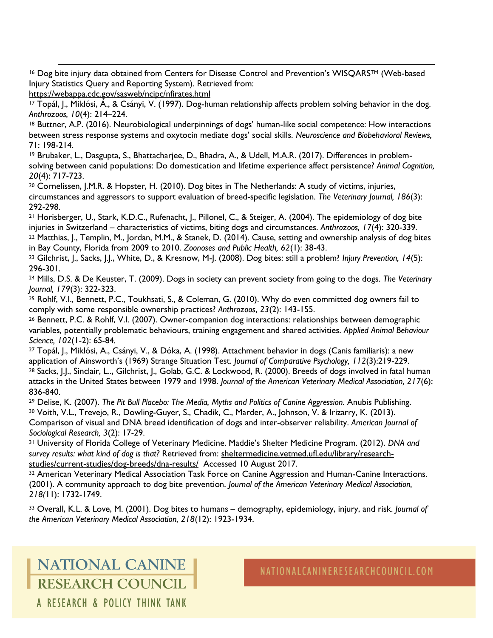$\overline{\phantom{a}}$ <sup>16</sup> Dog bite injury data obtained from Centers for Disease Control and Prevention's WISQARS™ (Web-based Injury Statistics Query and Reporting System). Retrieved from:

```
https://webappa.cdc.gov/sasweb/ncipc/nfirates.html
```
<sup>17</sup> Topál, J., Miklósi, Á., & Csányi, V. (1997). Dog-human relationship affects problem solving behavior in the dog. *Anthrozoos, 10*(4): 214–224.

<sup>18</sup> Buttner, A.P. (2016). Neurobiological underpinnings of dogs' human-like social competence: How interactions between stress response systems and oxytocin mediate dogs' social skills. *Neuroscience and Biobehavioral Reviews,*  71: 198-214.

<sup>19</sup> Brubaker, L., Dasgupta, S., Bhattacharjee, D., Bhadra, A., & Udell, M.A.R. (2017). Differences in problemsolving between canid populations: Do domestication and lifetime experience affect persistence? *Animal Cognition, 20*(4): 717-723.

<sup>20</sup> Cornelissen, J.M.R. & Hopster, H. (2010). Dog bites in The Netherlands: A study of victims, injuries, circumstances and aggressors to support evaluation of breed-specific legislation. *The Veterinary Journal, 186*(3): 292-298.

<sup>21</sup> Horisberger, U., Stark, K.D.C., Rufenacht, J., Pillonel, C., & Steiger, A. (2004). The epidemiology of dog bite injuries in Switzerland – characteristics of victims, biting dogs and circumstances. *Anthrozoos, 17*(4): 320-339. <sup>22</sup> Matthias, J., Templin, M., Jordan, M.M., & Stanek, D. (2014). Cause, setting and ownership analysis of dog bites in Bay County, Florida from 2009 to 2010. *Zoonoses and Public Health, 62*(1): 38-43.

<sup>23</sup> Gilchrist, J., Sacks, J.J., White, D., & Kresnow, M-J. (2008). Dog bites: still a problem? *Injury Prevention, 14*(5): 296-301.

<sup>24</sup> Mills, D.S. & De Keuster, T. (2009). Dogs in society can prevent society from going to the dogs. *The Veterinary Journal, 179*(3): 322-323.

<sup>25</sup> Rohlf, V.I., Bennett, P.C., Toukhsati, S., & Coleman, G. (2010). Why do even committed dog owners fail to comply with some responsible ownership practices? *Anthrozoos*, *23*(2): 143-155.

<sup>26</sup> Bennett, P.C. & Rohlf, V.I. (2007). Owner-companion dog interactions: relationships between demographic variables, potentially problematic behaviours, training engagement and shared activities. *Applied Animal Behaviour Science, 102*(1-2): 65-84*.*

<sup>27</sup> Topál, J., Miklósi, A., Csányi, V., & Dóka, A. (1998). Attachment behavior in dogs (Canis familiaris): a new application of Ainsworth's (1969) Strange Situation Test. *Journal of Comparative Psychology, 112*(3):219-229. 28 Sacks, J.J., Sinclair, L.., Gilchrist, J., Golab, G.C. & Lockwood, R. (2000). Breeds of dogs involved in fatal human attacks in the United States between 1979 and 1998. *Journal of the American Veterinary Medical Association, 217*(6):

836-840.

<sup>29</sup> Delise, K. (2007). *The Pit Bull Placebo: The Media, Myths and Politics of Canine Aggression.* Anubis Publishing. <sup>30</sup> Voith, V.L., Trevejo, R., Dowling-Guyer, S., Chadik, C., Marder, A., Johnson, V. & Irizarry, K. (2013). Comparison of visual and DNA breed identification of dogs and inter-observer reliability. *American Journal of Sociological Research, 3*(2): 17-29.

<sup>31</sup> University of Florida College of Veterinary Medicine. Maddie's Shelter Medicine Program. (2012). *DNA and survey results: what kind of dog is that?* Retrieved from: [sheltermedicine.vetmed.ufl.edu/library/research](http://www.sheltermedicine.vetmed.ufl.edu/library/research-studies/current-studies/dog-breeds/dna-results/)[studies/current-studies/dog-breeds/dna-results/](http://www.sheltermedicine.vetmed.ufl.edu/library/research-studies/current-studies/dog-breeds/dna-results/) Accessed 10 August 2017.

32 American Veterinary Medical Association Task Force on Canine Aggression and Human-Canine Interactions. (2001). A community approach to dog bite prevention. *Journal of the American Veterinary Medical Association, 218(*11): 1732-1749.

<sup>33</sup> Overall, K.L. & Love, M. (2001). Dog bites to humans – demography, epidemiology, injury, and risk. *Journal of the American Veterinary Medical Association, 218*(12): 1923-1934.

**NATIONAL CANINE RESEARCH COUNCIL** A RESEARCH & POLICY THINK TANK